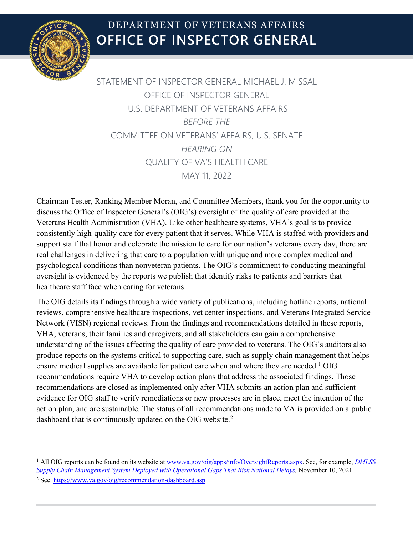

# **OFFICE OF INSPECTOR GENERAL** DEPARTMENT OF VETERANS AFFAIRS

STATEMENT OF INSPECTOR GENERAL MICHAEL J. MISSAL OFFICE OF INSPECTOR GENERAL U.S. DEPARTMENT OF VETERANS AFFAIRS *BEFORE THE* COMMITTEE ON VETERANS' AFFAIRS, U.S. SENATE *HEARING ON* QUALITY OF VA'S HEALTH CARE MAY 11, 2022

Chairman Tester, Ranking Member Moran, and Committee Members, thank you for the opportunity to discuss the Office of Inspector General's (OIG's) oversight of the quality of care provided at the Veterans Health Administration (VHA). Like other healthcare systems, VHA's goal is to provide consistently high-quality care for every patient that it serves. While VHA is staffed with providers and support staff that honor and celebrate the mission to care for our nation's veterans every day, there are real challenges in delivering that care to a population with unique and more complex medical and psychological conditions than nonveteran patients. The OIG's commitment to conducting meaningful oversight is evidenced by the reports we publish that identify risks to patients and barriers that healthcare staff face when caring for veterans.

The OIG details its findings through a wide variety of publications, including hotline reports, national reviews, comprehensive healthcare inspections, vet center inspections, and Veterans Integrated Service Network (VISN) regional reviews. From the findings and recommendations detailed in these reports, VHA, veterans, their families and caregivers, and all stakeholders can gain a comprehensive understanding of the issues affecting the quality of care provided to veterans. The OIG's auditors also produce reports on the systems critical to supporting care, such as supply chain management that helps ensure medical supplies are available for patient care when and where they are needed.<sup>[1](#page-0-0)</sup> OIG recommendations require VHA to develop action plans that address the associated findings. Those recommendations are closed as implemented only after VHA submits an action plan and sufficient evidence for OIG staff to verify remediations or new processes are in place, meet the intention of the action plan, and are sustainable. The status of all recommendations made to VA is provided on a public dashboard that is continuously updated on the OIG website.<sup>[2](#page-0-1)</sup>

<span id="page-0-0"></span><sup>1</sup> All OIG reports can be found on its website at [www.va.gov/oig/apps/info/OversightReports.aspx.](http://www.va.gov/oig/apps/info/OversightReports.aspx) See, for example, *[DMLSS](https://www.va.gov/oig/pubs/VAOIG-20-01324-215.pdf)  [Supply Chain Management System Deployed with Operational Gaps That Risk National Delays,](https://www.va.gov/oig/pubs/VAOIG-20-01324-215.pdf)* November 10, 2021.

<span id="page-0-1"></span><sup>2</sup> See.<https://www.va.gov/oig/recommendation-dashboard.asp>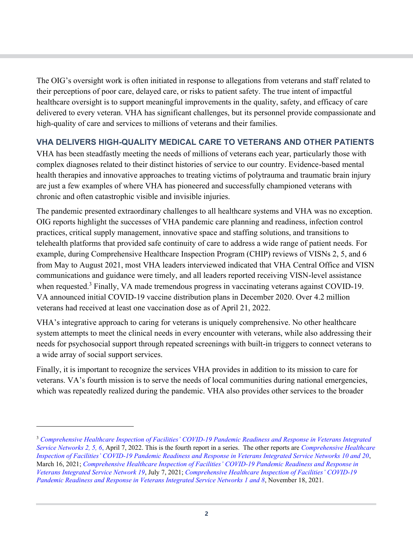The OIG's oversight work is often initiated in response to allegations from veterans and staff related to their perceptions of poor care, delayed care, or risks to patient safety. The true intent of impactful healthcare oversight is to support meaningful improvements in the quality, safety, and efficacy of care delivered to every veteran. VHA has significant challenges, but its personnel provide compassionate and high-quality of care and services to millions of veterans and their families.

## **VHA DELIVERS HIGH-QUALITY MEDICAL CARE TO VETERANS AND OTHER PATIENTS**

VHA has been steadfastly meeting the needs of millions of veterans each year, particularly those with complex diagnoses related to their distinct histories of service to our country. Evidence-based mental health therapies and innovative approaches to treating victims of polytrauma and traumatic brain injury are just a few examples of where VHA has pioneered and successfully championed veterans with chronic and often catastrophic visible and invisible injuries.

The pandemic presented extraordinary challenges to all healthcare systems and VHA was no exception. OIG reports highlight the successes of VHA pandemic care planning and readiness, infection control practices, critical supply management, innovative space and staffing solutions, and transitions to telehealth platforms that provided safe continuity of care to address a wide range of patient needs. For example, during Comprehensive Healthcare Inspection Program (CHIP) reviews of VISNs 2, 5, and 6 from May to August 2021, most VHA leaders interviewed indicated that VHA Central Office and VISN communications and guidance were timely, and all leaders reported receiving VISN-level assistance when requested.<sup>[3](#page-1-0)</sup> Finally, VA made tremendous progress in vaccinating veterans against COVID-19. VA announced initial COVID-19 vaccine distribution plans in December 2020. Over 4.2 million veterans had received at least one vaccination dose as of April 21, 2022.

VHA's integrative approach to caring for veterans is uniquely comprehensive. No other healthcare system attempts to meet the clinical needs in every encounter with veterans, while also addressing their needs for psychosocial support through repeated screenings with built-in triggers to connect veterans to a wide array of social support services.

Finally, it is important to recognize the services VHA provides in addition to its mission to care for veterans. VA's fourth mission is to serve the needs of local communities during national emergencies, which was repeatedly realized during the pandemic. VHA also provides other services to the broader

<span id="page-1-0"></span><sup>3</sup> *[Comprehensive Healthcare Inspection of Facilities' COVID-19 Pandemic Readiness and Response in Veterans Integrated](https://www.va.gov/oig/pubs/VAOIG-21-03917-123.pdf)  [Service Networks 2, 5, 6](https://www.va.gov/oig/pubs/VAOIG-21-03917-123.pdf)*, April 7, 2022. This is the fourth report in a series. The other reports are *[Comprehensive Healthcare](https://www.va.gov/oig/pubs/VAOIG-21-01116-98.pdf)  Inspection of Facilities' [COVID-19 Pandemic Readiness and Response in Veterans Integrated Service Networks 10 and 20](https://www.va.gov/oig/pubs/VAOIG-21-01116-98.pdf)*, March 16, 2021; *[Comprehensive Healthcare Inspection of Facilities'](https://www.va.gov/oig/pubs/VAOIG-21-01699-175.pdf) COVID-19 Pandemic Readiness and Response in [Veterans Integrated Service Network 19](https://www.va.gov/oig/pubs/VAOIG-21-01699-175.pdf)*, July 7, 2021; *[Comprehensive Healthcare Inspection of Facilities'](https://www.va.gov/oig/pubs/VAOIG-21-02969-20.pdf) COVID-19 [Pandemic Readiness and Response in Veterans Integrated Service Networks 1 and 8](https://www.va.gov/oig/pubs/VAOIG-21-02969-20.pdf)*, November 18, 2021.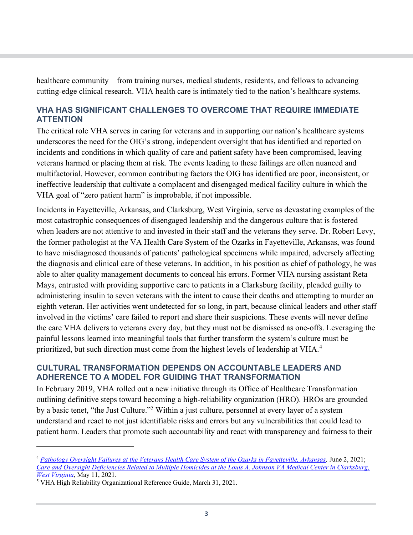healthcare community—from training nurses, medical students, residents, and fellows to advancing cutting-edge clinical research. VHA health care is intimately tied to the nation's healthcare systems.

#### **VHA HAS SIGNIFICANT CHALLENGES TO OVERCOME THAT REQUIRE IMMEDIATE ATTENTION**

The critical role VHA serves in caring for veterans and in supporting our nation's healthcare systems underscores the need for the OIG's strong, independent oversight that has identified and reported on incidents and conditions in which quality of care and patient safety have been compromised, leaving veterans harmed or placing them at risk. The events leading to these failings are often nuanced and multifactorial. However, common contributing factors the OIG has identified are poor, inconsistent, or ineffective leadership that cultivate a complacent and disengaged medical facility culture in which the VHA goal of "zero patient harm" is improbable, if not impossible.

Incidents in Fayetteville, Arkansas, and Clarksburg, West Virginia, serve as devastating examples of the most catastrophic consequences of disengaged leadership and the dangerous culture that is fostered when leaders are not attentive to and invested in their staff and the veterans they serve. Dr. Robert Levy, the former pathologist at the VA Health Care System of the Ozarks in Fayetteville, Arkansas, was found to have misdiagnosed thousands of patients' pathological specimens while impaired, adversely affecting the diagnosis and clinical care of these veterans. In addition, in his position as chief of pathology, he was able to alter quality management documents to conceal his errors. Former VHA nursing assistant Reta Mays, entrusted with providing supportive care to patients in a Clarksburg facility, pleaded guilty to administering insulin to seven veterans with the intent to cause their deaths and attempting to murder an eighth veteran. Her activities went undetected for so long, in part, because clinical leaders and other staff involved in the victims' care failed to report and share their suspicions. These events will never define the care VHA delivers to veterans every day, but they must not be dismissed as one-offs. Leveraging the painful lessons learned into meaningful tools that further transform the system's culture must be prioritized, but such direction must come from the highest levels of leadership at VHA.<sup>[4](#page-2-0)</sup>

#### **CULTURAL TRANSFORMATION DEPENDS ON ACCOUNTABLE LEADERS AND ADHERENCE TO A MODEL FOR GUIDING THAT TRANSFORMATION**

In February 2019, VHA rolled out a new initiative through its Office of Healthcare Transformation outlining definitive steps toward becoming a high-reliability organization (HRO). HROs are grounded by a basic tenet, "the Just Culture."[5](#page-2-1) Within a just culture, personnel at every layer of a system understand and react to not just identifiable risks and errors but any vulnerabilities that could lead to patient harm. Leaders that promote such accountability and react with transparency and fairness to their

<span id="page-2-0"></span><sup>4</sup> *[Pathology Oversight Failures at the Veterans Health Care System of the Ozarks in Fayetteville, Arkansas,](https://www.va.gov/oig/pubs/VAOIG-18-02496-157.pdf)* June 2, 2021; *[Care and Oversight Deficiencies Related to Multiple Homicides at the Louis A. Johnson VA Medical Center in Clarksburg,](https://www.va.gov/oig/pubs/VAOIG-20-03593-140.pdf)  [West Virginia](https://www.va.gov/oig/pubs/VAOIG-20-03593-140.pdf)*, May 11, 2021.

<span id="page-2-1"></span><sup>5</sup> VHA High Reliability Organizational Reference Guide, March 31, 2021.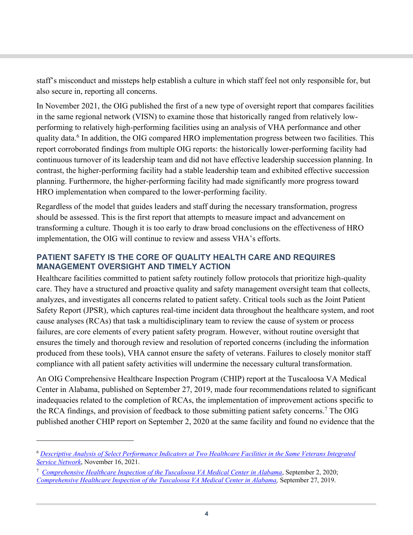staff's misconduct and missteps help establish a culture in which staff feel not only responsible for, but also secure in, reporting all concerns.

In November 2021, the OIG published the first of a new type of oversight report that compares facilities in the same regional network (VISN) to examine those that historically ranged from relatively lowperforming to relatively high-performing facilities using an analysis of VHA performance and other quality data.<sup>[6](#page-3-0)</sup> In addition, the OIG compared HRO implementation progress between two facilities. This report corroborated findings from multiple OIG reports: the historically lower-performing facility had continuous turnover of its leadership team and did not have effective leadership succession planning. In contrast, the higher-performing facility had a stable leadership team and exhibited effective succession planning. Furthermore, the higher-performing facility had made significantly more progress toward HRO implementation when compared to the lower-performing facility.

Regardless of the model that guides leaders and staff during the necessary transformation, progress should be assessed. This is the first report that attempts to measure impact and advancement on transforming a culture. Though it is too early to draw broad conclusions on the effectiveness of HRO implementation, the OIG will continue to review and assess VHA's efforts.

#### **PATIENT SAFETY IS THE CORE OF QUALITY HEALTH CARE AND REQUIRES MANAGEMENT OVERSIGHT AND TIMELY ACTION**

Healthcare facilities committed to patient safety routinely follow protocols that prioritize high-quality care. They have a structured and proactive quality and safety management oversight team that collects, analyzes, and investigates all concerns related to patient safety. Critical tools such as the Joint Patient Safety Report (JPSR), which captures real-time incident data throughout the healthcare system, and root cause analyses (RCAs) that task a multidisciplinary team to review the cause of system or process failures, are core elements of every patient safety program. However, without routine oversight that ensures the timely and thorough review and resolution of reported concerns (including the information produced from these tools), VHA cannot ensure the safety of veterans. Failures to closely monitor staff compliance with all patient safety activities will undermine the necessary cultural transformation.

An OIG Comprehensive Healthcare Inspection Program (CHIP) report at the Tuscaloosa VA Medical Center in Alabama, published on September 27, 2019, made four recommendations related to significant inadequacies related to the completion of RCAs, the implementation of improvement actions specific to the RCA findings, and provision of feedback to those submitting patient safety concerns.<sup>[7](#page-3-1)</sup> The OIG published another CHIP report on September 2, 2020 at the same facility and found no evidence that the

<span id="page-3-0"></span><sup>6</sup> *[Descriptive Analysis of Select Performance Indicators at Two Healthcare Facilities in the Same Veterans Integrated](https://www.va.gov/oig/pubs/VAOIG-20-02899-22.pdf)  [Service Network](https://www.va.gov/oig/pubs/VAOIG-20-02899-22.pdf)*, November 16, 2021.

<span id="page-3-1"></span><sup>7</sup> *[Comprehensive Healthcare Inspection of the Tuscaloosa VA Medical Center in Alabama](https://www.va.gov/oig/pubs/VAOIG-20-00130-194.pdf)*, September 2, 2020; *[Comprehensive Healthcare Inspection of the Tuscaloosa VA Medical Center in Alabama](https://www.va.gov/oig/pubs/VAOIG-19-00057-238.pdf),* September 27, 2019.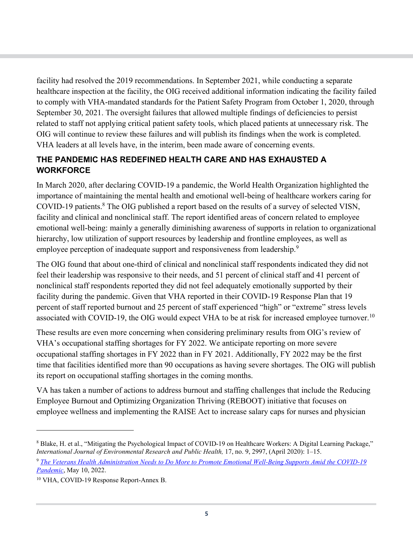facility had resolved the 2019 recommendations. In September 2021, while conducting a separate healthcare inspection at the facility, the OIG received additional information indicating the facility failed to comply with VHA-mandated standards for the Patient Safety Program from October 1, 2020, through September 30, 2021. The oversight failures that allowed multiple findings of deficiencies to persist related to staff not applying critical patient safety tools, which placed patients at unnecessary risk. The OIG will continue to review these failures and will publish its findings when the work is completed. VHA leaders at all levels have, in the interim, been made aware of concerning events.

## **THE PANDEMIC HAS REDEFINED HEALTH CARE AND HAS EXHAUSTED A WORKFORCE**

In March 2020, after declaring COVID-19 a pandemic, the World Health Organization highlighted the importance of maintaining the mental health and emotional well-being of healthcare workers caring for COVID-19 patients.<sup>[8](#page-4-0)</sup> The OIG published a report based on the results of a survey of selected VISN, facility and clinical and nonclinical staff. The report identified areas of concern related to employee emotional well-being: mainly a generally diminishing awareness of supports in relation to organizational hierarchy, low utilization of support resources by leadership and frontline employees, as well as employee perception of inadequate support and responsiveness from leadership.<sup>[9](#page-4-1)</sup>

The OIG found that about one-third of clinical and nonclinical staff respondents indicated they did not feel their leadership was responsive to their needs, and 51 percent of clinical staff and 41 percent of nonclinical staff respondents reported they did not feel adequately emotionally supported by their facility during the pandemic. Given that VHA reported in their COVID-19 Response Plan that 19 percent of staff reported burnout and 25 percent of staff experienced "high" or "extreme" stress levels associated with COVID-19, the OIG would expect VHA to be at risk for increased employee turnover.<sup>[10](#page-4-2)</sup>

These results are even more concerning when considering preliminary results from OIG's review of VHA's occupational staffing shortages for FY 2022. We anticipate reporting on more severe occupational staffing shortages in FY 2022 than in FY 2021. Additionally, FY 2022 may be the first time that facilities identified more than 90 occupations as having severe shortages. The OIG will publish its report on occupational staffing shortages in the coming months.

VA has taken a number of actions to address burnout and staffing challenges that include the Reducing Employee Burnout and Optimizing Organization Thriving (REBOOT) initiative that focuses on employee wellness and implementing the RAISE Act to increase salary caps for nurses and physician

<span id="page-4-0"></span><sup>8</sup> Blake, H. et al., "Mitigating the Psychological Impact of COVID-19 on Healthcare Workers: A Digital Learning Package," *International Journal of Environmental Research and Public Health,* 17, no. 9, 2997, (April 2020): 1–15.

<span id="page-4-1"></span><sup>9</sup> *[The Veterans Health Administration Needs to Do More to Promote Emotional Well-Being Supports Amid the COVID-19](https://www.va.gov/oig/pubs/VAOIG-21-00533-157.pdf)  [Pandemic](https://www.va.gov/oig/pubs/VAOIG-21-00533-157.pdf)*, May 10, 2022.

<span id="page-4-2"></span><sup>10</sup> VHA, COVID-19 Response Report-Annex B.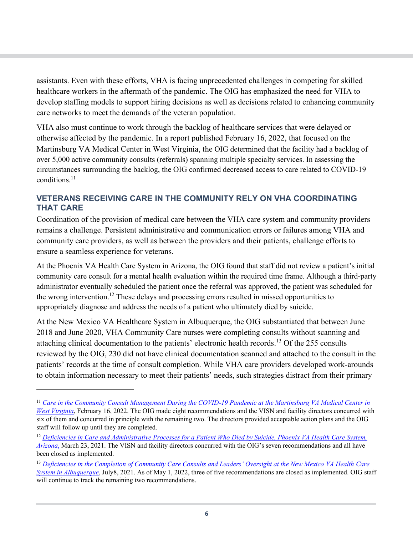assistants. Even with these efforts, VHA is facing unprecedented challenges in competing for skilled healthcare workers in the aftermath of the pandemic. The OIG has emphasized the need for VHA to develop staffing models to support hiring decisions as well as decisions related to enhancing community care networks to meet the demands of the veteran population.

VHA also must continue to work through the backlog of healthcare services that were delayed or otherwise affected by the pandemic. In a report published February 16, 2022, that focused on the Martinsburg VA Medical Center in West Virginia, the OIG determined that the facility had a backlog of over 5,000 active community consults (referrals) spanning multiple specialty services. In assessing the circumstances surrounding the backlog, the OIG confirmed decreased access to care related to COVID-19 conditions. [11](#page-5-0)

#### **VETERANS RECEIVING CARE IN THE COMMUNITY RELY ON VHA COORDINATING THAT CARE**

Coordination of the provision of medical care between the VHA care system and community providers remains a challenge. Persistent administrative and communication errors or failures among VHA and community care providers, as well as between the providers and their patients, challenge efforts to ensure a seamless experience for veterans.

At the Phoenix VA Health Care System in Arizona, the OIG found that staff did not review a patient's initial community care consult for a mental health evaluation within the required time frame. Although a third-party administrator eventually scheduled the patient once the referral was approved, the patient was scheduled for the wrong intervention.<sup>[12](#page-5-1)</sup> These delays and processing errors resulted in missed opportunities to appropriately diagnose and address the needs of a patient who ultimately died by suicide.

At the New Mexico VA Healthcare System in Albuquerque, the OIG substantiated that between June 2018 and June 2020, VHA Community Care nurses were completing consults without scanning and attaching clinical documentation to the patients' electronic health records.<sup>[13](#page-5-2)</sup> Of the 255 consults reviewed by the OIG, 230 did not have clinical documentation scanned and attached to the consult in the patients' records at the time of consult completion. While VHA care providers developed work-arounds to obtain information necessary to meet their patients' needs, such strategies distract from their primary

<span id="page-5-0"></span><sup>11</sup> *[Care in the Community Consult Management During the COVID-19 Pandemic at the Martinsburg VA Medical Center in](https://www.va.gov/oig/pubs/VAOIG-21-01724-84.pdf)  [West Virginia](https://www.va.gov/oig/pubs/VAOIG-21-01724-84.pdf)*, February 16, 2022. The OIG made eight recommendations and the VISN and facility directors concurred with six of them and concurred in principle with the remaining two. The directors provided acceptable action plans and the OIG staff will follow up until they are completed.

<span id="page-5-1"></span><sup>&</sup>lt;sup>12</sup> Deficiencies in Care and Administrative Processes for a Patient Who Died by Suicide, Phoenix VA Health Care System, *[Arizona](https://www.va.gov/oig/pubs/VAOIG-20-02667-93.pdf)*, March 23, 2021. The VISN and facility directors concurred with the OIG's seven recommendations and all have been closed as implemented.

<span id="page-5-2"></span><sup>13</sup> *[Deficiencies in the Completion of Community Care Consults and Leaders' Oversight at the New Mexico VA Health Care](https://www.va.gov/oig/pubs/VAOIG-20-00716-177.pdf)  [System in Albuquerque](https://www.va.gov/oig/pubs/VAOIG-20-00716-177.pdf)*, July8, 2021. As of May 1, 2022, three of five recommendations are closed as implemented. OIG staff will continue to track the remaining two recommendations.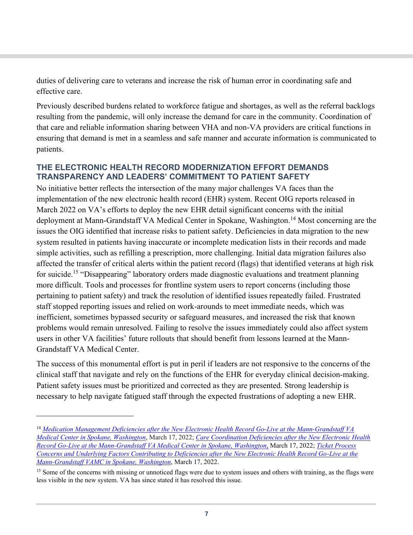duties of delivering care to veterans and increase the risk of human error in coordinating safe and effective care.

Previously described burdens related to workforce fatigue and shortages, as well as the referral backlogs resulting from the pandemic, will only increase the demand for care in the community. Coordination of that care and reliable information sharing between VHA and non-VA providers are critical functions in ensuring that demand is met in a seamless and safe manner and accurate information is communicated to patients.

#### **THE ELECTRONIC HEALTH RECORD MODERNIZATION EFFORT DEMANDS TRANSPARENCY AND LEADERS' COMMITMENT TO PATIENT SAFETY**

No initiative better reflects the intersection of the many major challenges VA faces than the implementation of the new electronic health record (EHR) system. Recent OIG reports released in March 2022 on VA's efforts to deploy the new EHR detail significant concerns with the initial deployment at Mann-Grandstaff VA Medical Center in Spokane, Washington.<sup>[14](#page-6-0)</sup> Most concerning are the issues the OIG identified that increase risks to patient safety. Deficiencies in data migration to the new system resulted in patients having inaccurate or incomplete medication lists in their records and made simple activities, such as refilling a prescription, more challenging. Initial data migration failures also affected the transfer of critical alerts within the patient record (flags) that identified veterans at high risk for suicide.<sup>[15](#page-6-1)</sup> "Disappearing" laboratory orders made diagnostic evaluations and treatment planning more difficult. Tools and processes for frontline system users to report concerns (including those pertaining to patient safety) and track the resolution of identified issues repeatedly failed. Frustrated staff stopped reporting issues and relied on work-arounds to meet immediate needs, which was inefficient, sometimes bypassed security or safeguard measures, and increased the risk that known problems would remain unresolved. Failing to resolve the issues immediately could also affect system users in other VA facilities' future rollouts that should benefit from lessons learned at the Mann-Grandstaff VA Medical Center.

The success of this monumental effort is put in peril if leaders are not responsive to the concerns of the clinical staff that navigate and rely on the functions of the EHR for everyday clinical decision-making. Patient safety issues must be prioritized and corrected as they are presented. Strong leadership is necessary to help navigate fatigued staff through the expected frustrations of adopting a new EHR.

<span id="page-6-0"></span><sup>14</sup> *[Medication Management Deficiencies after the New Electronic Health Record Go-Live at the Mann-Grandstaff VA](https://www.va.gov/oig/pubs/VAOIG-21-00656-110.pdf)  [Medical Center in Spokane, Washington](https://www.va.gov/oig/pubs/VAOIG-21-00656-110.pdf)*, March 17, 2022; *[Care Coordination Deficiencies after the New Electronic Health](https://www.va.gov/oig/pubs/VAOIG-21-00781-109.pdf)  [Record Go-Live at the Mann-Grandstaff VA Medical Center in Spokane, Washington](https://www.va.gov/oig/pubs/VAOIG-21-00781-109.pdf)*, March 17, 2022; *[Ticket Process](https://www.va.gov/oig/pubs/VAOIG-21-00781-108.pdf)  [Concerns and Underlying Factors Contributing to Deficiencies after the New Electronic Health Record Go-Live at the](https://www.va.gov/oig/pubs/VAOIG-21-00781-108.pdf)  [Mann-Grandstaff VAMC in Spokane, Washington](https://www.va.gov/oig/pubs/VAOIG-21-00781-108.pdf)*, March 17, 2022.

<span id="page-6-1"></span><sup>&</sup>lt;sup>15</sup> Some of the concerns with missing or unnoticed flags were due to system issues and others with training, as the flags were less visible in the new system. VA has since stated it has resolved this issue.